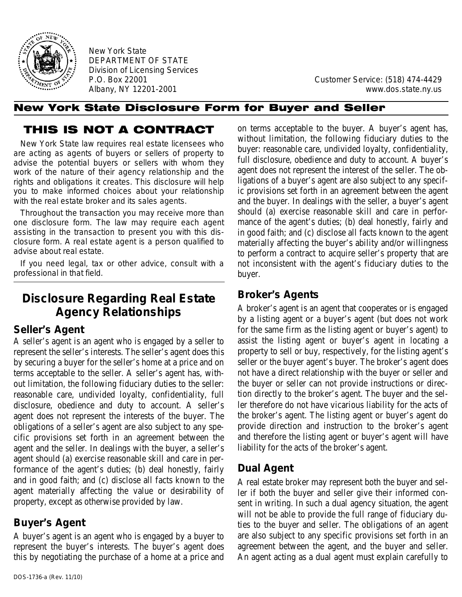

New York State DEPARTMENT OF STATE Division of Licensing Services

P.O. Box 22001 Customer Service: (518) 474-4429 Albany, NY 12201-2001 www.dos.state.ny.us

#### New York State Disclosure Form for Buyer and Seller

# THIS IS NOT A CONTRACT

*New York State law requires real estate licensees who are acting as agents of buyers or sellers of property to advise the potential buyers or sellers with whom they work of the nature of their agency relationship and the rights and obligations it creates. This disclosure will help you to make informed choices about your relationship with the real estate broker and its sales agents.*

*Throughout the transaction you may receive more than one disclosure form. The law may require each agent assisting in the transaction to present you with this disclosure form. A real estate agent is a person qualified to advise about real estate.*

*If you need legal, tax or other advice, consult with a professional in that field.*

# **Disclosure Regarding Real Estate Agency Relationships**

#### **Seller's Agent**

A seller's agent is an agent who is engaged by a seller to represent the seller's interests. The seller's agent does this by securing a buyer for the seller's home at a price and on terms acceptable to the seller. A seller's agent has, without limitation, the following fiduciary duties to the seller: reasonable care, undivided loyalty, confidentiality, full disclosure, obedience and duty to account. A seller's agent does not represent the interests of the buyer. The obligations of a seller's agent are also subject to any specific provisions set forth in an agreement between the agent and the seller. In dealings with the buyer, a seller's agent should (a) exercise reasonable skill and care in performance of the agent's duties; (b) deal honestly, fairly and in good faith; and (c) disclose all facts known to the agent materially affecting the value or desirability of property, except as otherwise provided by law.

#### **Buyer's Agent**

A buyer's agent is an agent who is engaged by a buyer to represent the buyer's interests. The buyer's agent does this by negotiating the purchase of a home at a price and on terms acceptable to the buyer. A buyer's agent has, without limitation, the following fiduciary duties to the buyer: reasonable care, undivided loyalty, confidentiality, full disclosure, obedience and duty to account. A buyer's agent does not represent the interest of the seller. The obligations of a buyer's agent are also subject to any specific provisions set forth in an agreement between the agent and the buyer. In dealings with the seller, a buyer's agent should (a) exercise reasonable skill and care in performance of the agent's duties; (b) deal honestly, fairly and in good faith; and (c) disclose all facts known to the agent materially affecting the buyer's ability and/or willingness to perform a contract to acquire seller's property that are not inconsistent with the agent's fiduciary duties to the buyer.

### **Broker's Agents**

A broker's agent is an agent that cooperates or is engaged by a listing agent or a buyer's agent (but does not work for the same firm as the listing agent or buyer's agent) to assist the listing agent or buyer's agent in locating a property to sell or buy, respectively, for the listing agent's seller or the buyer agent's buyer. The broker's agent does not have a direct relationship with the buyer or seller and the buyer or seller can not provide instructions or direction directly to the broker's agent. The buyer and the seller therefore do not have vicarious liability for the acts of the broker's agent. The listing agent or buyer's agent do provide direction and instruction to the broker's agent and therefore the listing agent or buyer's agent will have liability for the acts of the broker's agent.

## **Dual Agent**

A real estate broker may represent both the buyer and seller if both the buyer and seller give their informed consent in writing. In such a dual agency situation, the agent will not be able to provide the full range of fiduciary duties to the buyer and seller. The obligations of an agent are also subject to any specific provisions set forth in an agreement between the agent, and the buyer and seller. An agent acting as a dual agent must explain carefully to